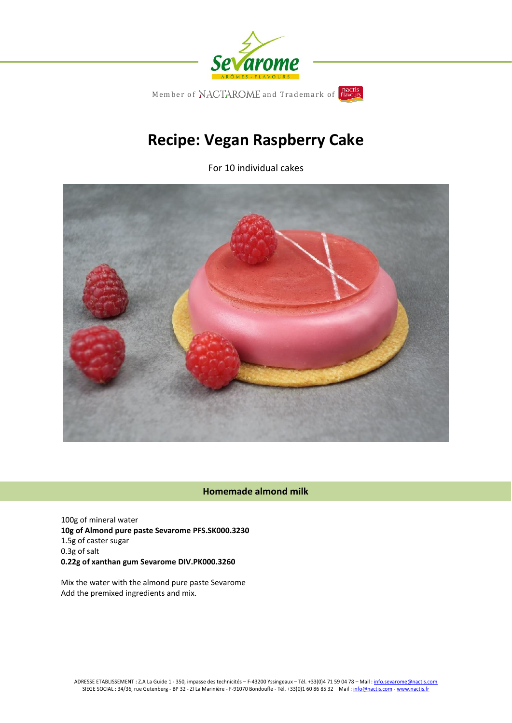

# **Recipe: Vegan Raspberry Cake**

For 10 individual cakes



# **Homemade almond milk**

100g of mineral water **10g of Almond pure paste Sevarome PFS.SK000.3230** 1.5g of caster sugar 0.3g of salt **0.22g of xanthan gum Sevarome DIV.PK000.3260**

Mix the water with the almond pure paste Sevarome Add the premixed ingredients and mix.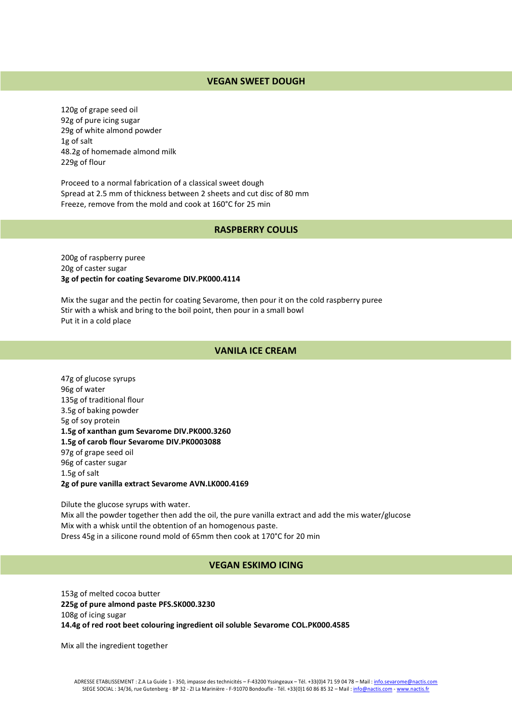# **VEGAN SWEET DOUGH**

120g of grape seed oil 92g of pure icing sugar 29g of white almond powder 1g of salt 48.2g of homemade almond milk 229g of flour

Proceed to a normal fabrication of a classical sweet dough Spread at 2.5 mm of thickness between 2 sheets and cut disc of 80 mm Freeze, remove from the mold and cook at 160°C for 25 min

#### **RASPBERRY COULIS**

200g of raspberry puree 20g of caster sugar **3g of pectin for coating Sevarome DIV.PK000.4114**

Mix the sugar and the pectin for coating Sevarome, then pour it on the cold raspberry puree Stir with a whisk and bring to the boil point, then pour in a small bowl Put it in a cold place

### **VANILA ICE CREAM**

47g of glucose syrups 96g of water 135g of traditional flour 3.5g of baking powder 5g of soy protein **1.5g of xanthan gum Sevarome DIV.PK000.3260 1.5g of carob flour Sevarome DIV.PK0003088** 97g of grape seed oil 96g of caster sugar 1.5g of salt **2g of pure vanilla extract Sevarome AVN.LK000.4169**

Dilute the glucose syrups with water. Mix all the powder together then add the oil, the pure vanilla extract and add the mis water/glucose Mix with a whisk until the obtention of an homogenous paste. Dress 45g in a silicone round mold of 65mm then cook at 170°C for 20 min

#### **VEGAN ESKIMO ICING**

153g of melted cocoa butter **225g of pure almond paste PFS.SK000.3230** 108g of icing sugar **14.4g of red root beet colouring ingredient oil soluble Sevarome COL.PK000.4585**

Mix all the ingredient together